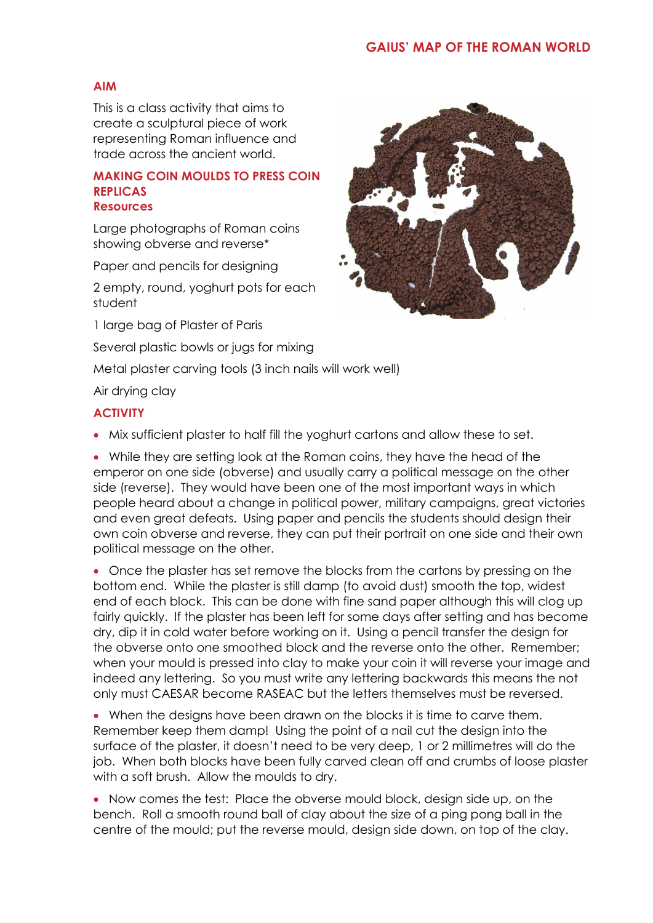# **AIM**

This is a class activity that aims to create a sculptural piece of work representing Roman influence and trade across the ancient world.

#### **MAKING COIN MOULDS TO PRESS COIN REPLICAS Resources**

Large photographs of Roman coins showing obverse and reverse\*

Paper and pencils for designing

2 empty, round, yoghurt pots for each student

1 large bag of Plaster of Paris

Several plastic bowls or jugs for mixing

Metal plaster carving tools (3 inch nails will work well)

## Air drying clay

## **ACTIVITY**

Mix sufficient plaster to half fill the yoghurt cartons and allow these to set.

 While they are setting look at the Roman coins, they have the head of the emperor on one side (obverse) and usually carry a political message on the other side (reverse). They would have been one of the most important ways in which people heard about a change in political power, military campaigns, great victories and even great defeats. Using paper and pencils the students should design their own coin obverse and reverse, they can put their portrait on one side and their own political message on the other.

 Once the plaster has set remove the blocks from the cartons by pressing on the bottom end. While the plaster is still damp (to avoid dust) smooth the top, widest end of each block. This can be done with fine sand paper although this will clog up fairly quickly. If the plaster has been left for some days after setting and has become dry, dip it in cold water before working on it. Using a pencil transfer the design for the obverse onto one smoothed block and the reverse onto the other. Remember; when your mould is pressed into clay to make your coin it will reverse your image and indeed any lettering. So you must write any lettering backwards this means the not only must CAESAR become RASEAC but the letters themselves must be reversed.

 When the designs have been drawn on the blocks it is time to carve them. Remember keep them damp! Using the point of a nail cut the design into the surface of the plaster, it doesn't need to be very deep, 1 or 2 millimetres will do the job. When both blocks have been fully carved clean off and crumbs of loose plaster with a soft brush. Allow the moulds to dry.

 Now comes the test: Place the obverse mould block, design side up, on the bench. Roll a smooth round ball of clay about the size of a ping pong ball in the centre of the mould; put the reverse mould, design side down, on top of the clay.